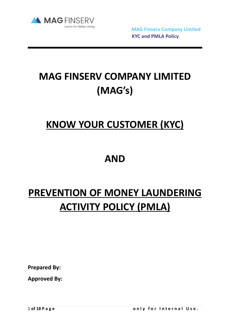

 **MAG Finserv Company Limited KYC and PMLA Policy**

# **MAG FINSERV COMPANY LIMITED (MAG's)**

## **KNOW YOUR CUSTOMER (KYC)**

## **AND**

# **PREVENTION OF MONEY LAUNDERING ACTIVITY POLICY (PMLA)**

**Prepared By:** 

**Approved By:**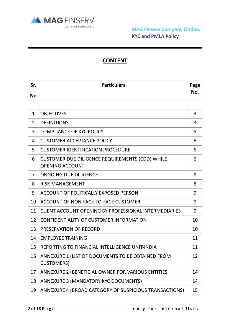

## **CONTENT**

| Sr.            | <b>Particulars</b>                                                               | Page |
|----------------|----------------------------------------------------------------------------------|------|
| <b>No</b>      |                                                                                  | No.  |
|                |                                                                                  |      |
| $\mathbf{1}$   | <b>OBJECTIVES</b>                                                                | 3    |
| $\overline{2}$ | <b>DEFINITIONS</b>                                                               | 3    |
| 3              | <b>COMPLIANCE OF KYC POLICY</b>                                                  | 5    |
| 4              | <b>CUSTOMER ACCEPTANCE POLICY</b>                                                | 5    |
| 5              | <b>CUSTOMER IDENTIFICATION PROCEDURE</b>                                         | 6    |
| 6              | <b>CUSTOMER DUE DILIGENCE REQUIREMENTS (CDD) WHILE</b><br><b>OPENING ACCOUNT</b> | 6    |
| $\overline{7}$ | <b>ONGOING DUE DILIGENCE</b>                                                     | 8    |
| 8              | <b>RISK MANAGEMENT</b>                                                           | 8    |
| 9              | ACCOUNT OF POLITICALLY EXPOSED PERSON                                            | 9    |
| 10             | ACCOUNT OF NON-FACE-TO-FACE CUSTOMER                                             | 9    |
| 11             | CLIENT ACCOUNT OPENING BY PROFESSIONAL INTERMEDIARIES                            | 9    |
| 12             | CONFIDENTIALITY OF CUSTOMER INFORMATION                                          | 10   |
| 13             | PRESERVATION OF RECORD                                                           | 10   |
| 14             | <b>EMPLOYEE TRAINING</b>                                                         | 11   |
| 15             | REPORTING TO FINANCIAL INTELLIGENCE UNIT-INDIA                                   | 11   |
| 16             | ANNEXURE 1 (LIST OF DOCUMENTS TO BE OBTAINED FROM<br><b>CUSTOMERS)</b>           | 12   |
| 17             | ANNEXURE 2 (BENEFICIAL OWNER FOR VARIOUS ENTITIES                                | 14   |
| 18             | ANNEXURE 3 (MANDATORY KYC DOCUMENTS)                                             | 14   |
| 19             | ANNEXURE 4 (BROAD CATEGORY OF SUSPICIOUS TRANSACTIONS)                           | 15   |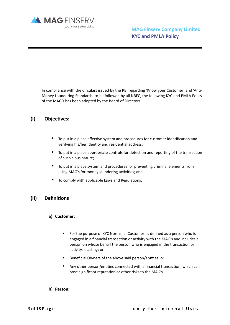

In compliance with the Circulars issued by the RBI regarding 'Know your Customer' and 'Anti-Money Laundering Standards' to be followed by all NBFC, the following KYC and PMLA Policy of the MAG's has been adopted by the Board of Directors.

## (I) Objectives:

- To put in a place effective system and procedures for customer identification and verifying his/her identity and residential address;
- To put in a place appropriate controls for detection and reporting of the transaction of suspicious nature;
- To put in a place system and procedures for preventing criminal elements from using MAG's for money laundering activities; and
- To comply with applicable Laws and Regulations;

#### **(II) Definitions**

- **a) Customer:**
	- For the purpose of KYC Norms, a 'Customer' is defined as a person who is engaged in a financial transaction or activity with the MAG's and includes a person on whose behalf the person who is engaged in the transaction or activity, is acting; or
	- Beneficial Owners of the above said person/entities; or
	- Any other person/entities connected with a financial transaction, which can pose significant reputation or other risks to the MAG's.
- **b) Person:**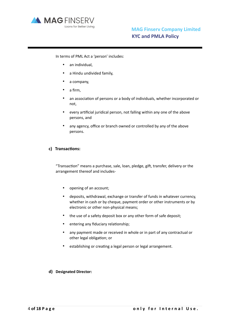

In terms of PML Act a 'person' includes:

- an individual,
- a Hindu undivided family,
- a company,
- a firm,
- an association of persons or a body of individuals, whether incorporated or not,
- every artificial juridical person, not falling within any one of the above persons, and
- any agency, office or branch owned or controlled by any of the above persons.

#### c) **Transactions:**

"Transaction" means a purchase, sale, loan, pledge, gift, transfer, delivery or the arrangement thereof and includes-

- opening of an account;
- deposits, withdrawal, exchange or transfer of funds in whatever currency, whether in cash or by cheque, payment order or other instruments or by electronic or other non-physical means;
- the use of a safety deposit box or any other form of safe deposit;
- entering any fiduciary relationship;
- any payment made or received in whole or in part of any contractual or other legal obligation; or
- establishing or creating a legal person or legal arrangement.

#### **d) Designated Director:**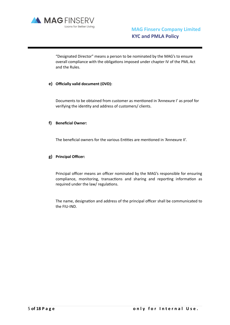

"Designated Director" means a person to be nominated by the MAG's to ensure overall compliance with the obligations imposed under chapter IV of the PML Act and the Rules.

#### **e) Officially valid document (OVD):**

Documents to be obtained from customer as mentioned in 'Annexure I' as proof for verifying the identity and address of customers/ clients.

#### **f) Beneficial Owner:**

The beneficial owners for the various Entities are mentioned in 'Annexure II'.

#### **g) Principal Officer:**

Principal officer means an officer nominated by the MAG's responsible for ensuring compliance, monitoring, transactions and sharing and reporting information as required under the law/ regulations.

The name, designation and address of the principal officer shall be communicated to the FIU-IND.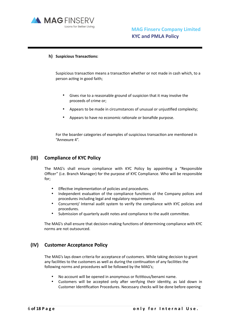

#### **h)** Suspicious Transactions:

Suspicious transaction means a transaction whether or not made in cash which, to a person acting in good faith;

- Gives rise to a reasonable ground of suspicion that it may involve the proceeds of crime or;
- Appears to be made in circumstances of unusual or uniustified complexity:
- Appears to have no economic rationale or bonafide purpose.

For the boarder categories of examples of suspicious transaction are mentioned in "Annexure 4".

#### **(III) Compliance of KYC Policy**

The MAG's shall ensure compliance with KYC Policy by appointing a "Responsible Officer" (i.e. Branch Manager) for the purpose of KYC Compliance. Who will be responsible for;

- Effective implementation of policies and procedures.
- Independent evaluation of the compliance functions of the Company polices and procedures including legal and regulatory requirements.
- Concurrent/ Internal audit system to verify the compliance with KYC policies and procedures.
- Submission of quarterly audit notes and compliance to the audit committee.

The MAG's shall ensure that decision-making functions of determining compliance with KYC norms are not outsourced.

#### **(IV) Customer Acceptance Policy**

The MAG's lays down criteria for acceptance of customers. While taking decision to grant any facilities to the customers as well as during the continuation of any facilities the following norms and procedures will be followed by the MAG's;

- No account will be opened in anonymous or fictitious/benami name.
- Customers will be accepted only after verifying their identity, as laid down in Customer Identification Procedures. Necessary checks will be done before opening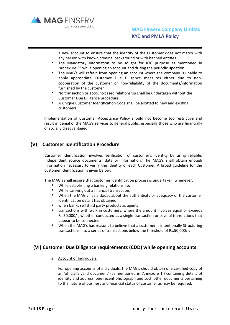

a new account to ensure that the identity of the Customer does not match with any person with known criminal background or with banned entities.

- The Mandatory information to be sought for KYC purpose as mentioned in "Annexure 3" while opening an account and during the periodic updation.
- The MAG's will refrain from opening an account where the company is unable to apply appropriate Customer Due Diligence measures either due to noncooperation of the customer or non-reliability of the documents/information furnished by the customer.
- No transaction or account-based relationship shall be undertaken without the Customer Due Diligence procedure.
- A Unique Customer Identification Code shall be allotted to new and existing customers.

Implementation of Customer Acceptance Policy should not become too restrictive and result in denial of the MAG's services to general public, especially those who are financially or socially disadvantaged.

#### **(V)** Customer Identification Procedure

Customer Identification involves verification of customer's identity by using reliable, independent source documents, data or information. The MAG's shall obtain enough information necessary to verify the identity of each Customer. A broad guideline for the customer identification is given below:

The MAG's shall ensure that Customer identification process is undertaken, whenever;

- While establishing a banking relationship:
- While carrying out a financial transaction;
- When the MAG's has a doubt about the authenticity or adequacy of the customer identification data it has obtained:
- when banks sell third party products as agents;
- transactions with walk in customers, where the amount involves equal or exceeds Rs.50,000/-, whether conducted as a single transaction or several transactions that appear to be connected.
- When the MAG's has reasons to believe that a customer is intentionally Structuring transactions into a series of transactions below the threshold of Rs.50,000/-.

#### **(VI) Customer Due Diligence requirements (CDD) while opening accounts**

a. Account of Individuals:

For opening accounts of individuals, the MAG's should obtain one certified copy of an 'officially valid document' (as mentioned in 'Annexure 1') containing details of identity and address, one recent photograph and such other documents pertaining to the nature of business and financial status of customer as may be required.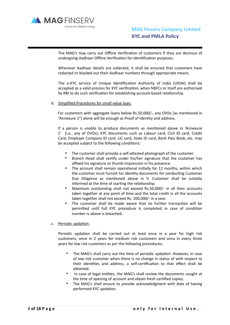

The MAG's may carry out Offline Verification of customers if they are desirous of undergoing Aadhaar Offline Verification for identification purposes.

Wherever Aadhaar details are collected, it shall be ensured that customers have redacted or blacked out their Aadhaar numbers through appropriate means.

The e-KYC service of Unique Identification Authority of India (UIDAI) shall be accepted as a valid process for KYC verification, when NBFCs or itself are authorised by RBI to do such verification for establishing account-based relationship.

#### b. Simplified Procedures for small value loan:

For customers with aggregate loans below Rs.50,000/-, any OVDs [as mentioned in "Annexure 1"] alone will be enough as Proof of Identity and address.

If a person is unable to produce documents as mentioned above in 'Annexure 1' (i.e., any of OVDs), KYC documents such as Labour card, Civil ID card, Credit Card, Employer Company ID card, LIC card, State ID card, Bank Pass Book, etc. may be accepted subject to the following conditions:

- The customer shall provide a self-attested photograph of the customer.
- Branch Head shall certify under his/her signature that the customer has affixed his signature or thumb impression in his presence.
- The account shall remain operational initially for 12 months, within which the customer must furnish his identity documents for conducting Customer Due Diligence as mentioned above in V. Customer shall be suitably informed at the time of starting the relationship.
- Maximum outstanding shall not exceed Rs.50,000/- in all their accounts taken together at any point of time and the total credit in all the accounts taken together shall not exceed Rs. 100,000/- in a year.
- The customer shall be made aware that no further transaction will be permitted until full KYC procedure is completed in case of condition number iv above is breached.

#### c. Periodic updation:

Periodic updation shall be carried out at least once in a year for high risk customers, once in 2 years for medium risk customers and once in every three years for low risk customers as per the following procedures;

- The MAG's shall carry out the time of periodic updation. However, in case of low risk customer when there is no change in status of with respect to their identities and address, a self-certification to that effect shall be obtained.
- In case of legal entities, the MAG's shall review the documents sought at the time of opening of account and obtain fresh certified copies.
- The MAG's shall ensure to provide acknowledgment with date of having performed KYC updation.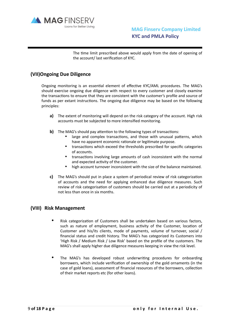

•

The time limit prescribed above would apply from the date of opening of the account/ last verification of KYC.

### **(VII)Ongoing Due Diligence**

Ongoing monitoring is an essential element of effective KYC/AML procedures. The MAG's should exercise ongoing due diligence with respect to every customer and closely examine the transactions to ensure that they are consistent with the customer's profile and source of funds as per extant instructions. The ongoing due diligence may be based on the following principles:

- **a)** The extent of monitoring will depend on the risk category of the account. High risk accounts must be subjected to more intensified monitoring.
- **b)** The MAG's should pay attention to the following types of transactions:
	- large and complex transactions, and those with unusual patterns, which have no apparent economic rationale or legitimate purpose.
	- transactions which exceed the thresholds prescribed for specific categories of accounts.
	- transactions involving large amounts of cash inconsistent with the normal and expected activity of the customer.
	- high account turnover inconsistent with the size of the balance maintained.
- **c)** The MAG's should put in place a system of periodical review of risk categorization of accounts and the need for applying enhanced due diligence measures. Such review of risk categorisation of customers should be carried out at a periodicity of not less than once in six months.

#### **(VIII) Risk Management**

- Risk categorization of Customers shall be undertaken based on various factors, such as nature of employment, business activity of the Customer, location of Customer and his/its clients, mode of payments, volume of turnover, social / financial status and credit history. The MAG's has categorized its Customers into 'High Risk / Medium Risk / Low Risk' based on the profile of the customers. The MAG's shall apply higher due diligence measures keeping in view the risk level.
- The MAG's has developed robust underwriting procedures for onboarding borrowers, which include verification of ownership of the gold ornaments (in the case of gold loans), assessment of financial resources of the borrowers, collection of their market reports etc (for other loans).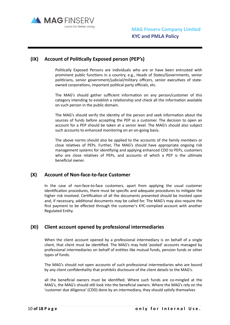

## **(IX)** Account of Politically Exposed person (PEP's)

Politically Exposed Persons are individuals who are or have been entrusted with prominent public functions in a country, e.g., Heads of States/Governments, senior politicians, senior government/judicial/military officers, senior executives of stateowned corporations, important political party officials, etc.

The MAG's should gather sufficient information on any person/customer of this category intending to establish a relationship and check all the information available on such person in the public domain.

The MAG's should verify the identity of the person and seek information about the sources of funds before accepting the PEP as a customer. The decision to open an account for a PEP should be taken at a senior level. The MAG's should also subject such accounts to enhanced monitoring on an on-going basis.

The above norms should also be applied to the accounts of the family members or close relatives of PEPs. Further, The MAG's should have appropriate ongoing risk management systems for identifying and applying enhanced CDD to PEPs, customers who are close relatives of PEPs, and accounts of which a PEP is the ultimate beneficial owner.

#### **(X) Account of Non-face-to-face Customer**

In the case of non-face-to-face customers, apart from applying the usual customer identification procedures, there must be specific and adequate procedures to mitigate the higher risk involved. Certification of all the documents presented should be insisted upon and, if necessary, additional documents may be called for. The MAG's may also require the first payment to be effected through the customer's KYC-complied account with another Regulated Entity.

#### **(XI) Client account opened by professional intermediaries**

When the client account opened by a professional intermediary is on behalf of a single client, that client must be identified. The MAG's may hold 'pooled' accounts managed by professional intermediaries on behalf of entities like mutual funds, pension funds or other types of funds.

The MAG's should not open accounts of such professional intermediaries who are bound by any client confidentiality that prohibits disclosure of the client details to the MAG's.

all the beneficial owners must be identified. Where such funds are co-mingled at the MAG's, the MAG's should still look into the beneficial owners. Where the MAG's rely on the 'customer due diligence' (CDD) done by an intermediary, they should satisfy themselves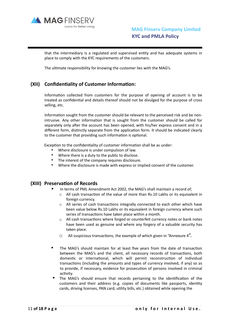

that the intermediary is a regulated and supervised entity and has adequate systems in place to comply with the KYC requirements of the customers.

The ultimate responsibility for knowing the customer lies with the MAG's.

#### **(XII)** Confidentiality of Customer Information:

Information collected from customers for the purpose of opening of account is to be treated as confidential and details thereof should not be divulged for the purpose of cross selling, etc.

Information sought from the customer should be relevant to the perceived risk and be nonintrusive. Any other information that is sought from the customer should be called for separately only after the account has been opened, with his/her express consent and in a different form, distinctly separate from the application form. It should be indicated clearly to the customer that providing such information is optional.

Exception to the confidentiality of customer information shall be as under:

- Where disclosure is under compulsion of law.
- Where there is a duty to the public to disclose.
- The interest of the company requires disclosure.
- Where the disclosure is made with express or implied consent of the customer.

#### **(XIII)** Preservation of Records

- In terms of PML Amendment Act 2002, the MAG's shall maintain a record of;
	- $\circ$  All cash transaction of the value of more than Rs.10 Lakhs or its equivalent in foreign currency.
	- o All series of cash transactions integrally connected to each other which have been value below Rs.10 Lakhs or its equivalent in foreign currency where such series of transactions have taken place within a month.
	- $\circ$  All cash transactions where forged or counterfeit currency notes or bank notes have been used as genuine and where any forgery of a valuable security has taken place.
	- $\circ$  All suspicious transactions, the example of which given in "Annexure 4".
- The MAG's should maintain for at least five years from the date of transaction between the MAG's and the client, all necessary records of transactions, both domestic or international, which will permit reconstruction of individual transactions (including the amounts and types of currency involved, if any) so as to provide, if necessary, evidence for prosecution of persons involved in criminal activity.
- The MAG's should ensure that records pertaining to the identification of the customers and their address (e.g. copies of documents like passports, identity cards, driving licenses, PAN card, utility bills, etc.) obtained while opening the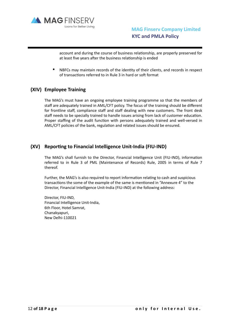

account and during the course of business relationship, are properly preserved for at least five years after the business relationship is ended

NBFCs may maintain records of the identity of their clients, and records in respect of transactions referred to in Rule 3 in hard or soft format

#### **(XIV) Employee Training**

The MAG's must have an ongoing employee training programme so that the members of staff are adequately trained in AML/CFT policy. The focus of the training should be different for frontline staff, compliance staff and staff dealing with new customers. The front desk staff needs to be specially trained to handle issues arising from lack of customer education. Proper staffing of the audit function with persons adequately trained and well-versed in AML/CFT policies of the bank, regulation and related issues should be ensured.

## **(XV)** Reporting to Financial Intelligence Unit-India (FIU-IND)

The MAG's shall furnish to the Director, Financial Intelligence Unit (FIU-IND), information referred to in Rule 3 of PML (Maintenance of Records) Rule, 2005 in terms of Rule 7 thereof.

Further, the MAG's is also required to report information relating to cash and suspicious transactions the some of the example of the same is mentioned in "Annexure 4" to the Director, Financial Intelligence Unit-India (FIU-IND) at the following address:

Director, FIU-IND, Financial Intelligence Unit-India, 6th Floor, Hotel Samrat, Chanakyapuri, New Delhi-110021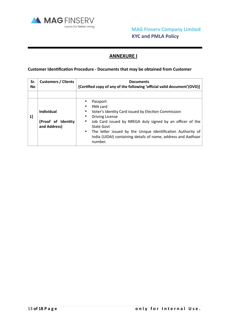

## **ANNEXURE I**

#### **Customer Identification Procedure - Documents that may be obtained from Customer**

| Sr.<br><b>No</b> | <b>Customers / Clients</b>                       | <b>Documents</b><br>[Certified copy of any of the following 'official valid document'(OVD)]                                                                                                                                                            |
|------------------|--------------------------------------------------|--------------------------------------------------------------------------------------------------------------------------------------------------------------------------------------------------------------------------------------------------------|
| 1]               | Individual<br>(Proof of Identity<br>and Address) | Passport<br>PAN card<br>Voter's Identity Card issued by Election Commission<br><b>Driving License</b><br>Job Card issued by NREGA duly signed by an officer of the<br><b>State Govt</b><br>The letter issued by the Unique Identification Authority of |
|                  |                                                  | India (UIDAI) containing details of name, address and Aadhaar<br>number.                                                                                                                                                                               |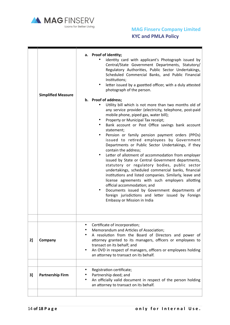

## **MAG Finserv Company Limited KYC and PMLA Policy**

|    | <b>Simplified Measure</b> | a. Proof of identity;<br>identity card with applicant's Photograph issued by<br>Central/State Government Departments, Statutory/<br>Regulatory Authorities, Public Sector Undertakings,<br>Scheduled Commercial Banks, and Public Financial<br>Institutions;<br>letter issued by a gazetted officer, with a duly attested<br>$\bullet$<br>photograph of the person.<br>b. Proof of address;<br>Utility bill which is not more than two months old of<br>any service provider (electricity, telephone, post-paid<br>mobile phone, piped gas, water bill);<br>Property or Municipal Tax receipt;<br>Bank account or Post Office savings bank account<br>statement;<br>Pension or family pension payment orders (PPOs)<br>٠<br>issued to retired employees by Government<br>Departments or Public Sector Undertakings, if they<br>contain the address:<br>Letter of allotment of accommodation from employer<br>issued by State or Central Government departments,<br>statutory or regulatory bodies, public sector<br>undertakings, scheduled commercial banks, financial<br>institutions and listed companies. Similarly, leave and<br>license agreements with such employers allotting<br>official accommodation; and<br>Documents issued by Government departments of<br>foreign jurisdictions and letter issued by Foreign<br>Embassy or Mission in India |
|----|---------------------------|-------------------------------------------------------------------------------------------------------------------------------------------------------------------------------------------------------------------------------------------------------------------------------------------------------------------------------------------------------------------------------------------------------------------------------------------------------------------------------------------------------------------------------------------------------------------------------------------------------------------------------------------------------------------------------------------------------------------------------------------------------------------------------------------------------------------------------------------------------------------------------------------------------------------------------------------------------------------------------------------------------------------------------------------------------------------------------------------------------------------------------------------------------------------------------------------------------------------------------------------------------------------------------------------------------------------------------------------------------------|
|    |                           |                                                                                                                                                                                                                                                                                                                                                                                                                                                                                                                                                                                                                                                                                                                                                                                                                                                                                                                                                                                                                                                                                                                                                                                                                                                                                                                                                             |
| 2] | Company                   | Certificate of incorporation;<br>Memorandum and Articles of Association;<br>A resolution from the Board of Directors and power of<br>attorney granted to its managers, officers or employees to<br>transact on its behalf; and<br>An OVD in respect of managers, officers or employees holding<br>an attorney to transact on its behalf.                                                                                                                                                                                                                                                                                                                                                                                                                                                                                                                                                                                                                                                                                                                                                                                                                                                                                                                                                                                                                    |
| 3] | <b>Partnership Firm</b>   | Registration certificate;<br>٠<br>Partnership deed; and<br>An officially valid document in respect of the person holding<br>٠<br>an attorney to transact on its behalf.                                                                                                                                                                                                                                                                                                                                                                                                                                                                                                                                                                                                                                                                                                                                                                                                                                                                                                                                                                                                                                                                                                                                                                                     |
|    |                           |                                                                                                                                                                                                                                                                                                                                                                                                                                                                                                                                                                                                                                                                                                                                                                                                                                                                                                                                                                                                                                                                                                                                                                                                                                                                                                                                                             |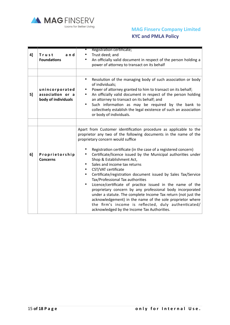

## **MAG Finserv Company Limited KYC and PMLA Policy**

| 4] | Trust<br>and<br><b>Foundations</b>                        | Registration certificate;<br>Trust deed; and<br>An officially valid document in respect of the person holding a<br>power of attorney to transact on its behalf                                                                                                                                                                                                                                                                                                                                                                                                                                                                                                                                                                                                                                                                                                                                              |
|----|-----------------------------------------------------------|-------------------------------------------------------------------------------------------------------------------------------------------------------------------------------------------------------------------------------------------------------------------------------------------------------------------------------------------------------------------------------------------------------------------------------------------------------------------------------------------------------------------------------------------------------------------------------------------------------------------------------------------------------------------------------------------------------------------------------------------------------------------------------------------------------------------------------------------------------------------------------------------------------------|
| 5] | unincorporated<br>association or a<br>body of individuals | Resolution of the managing body of such association or body<br>$\bullet$<br>of individuals;<br>Power of attorney granted to him to transact on its behalf;<br>An officially valid document in respect of the person holding<br>٠<br>an attorney to transact on its behalf; and<br>Such information as may be required by the bank to<br>$\bullet$<br>collectively establish the legal existence of such an association<br>or body of individuals.                                                                                                                                                                                                                                                                                                                                                                                                                                                           |
| 6] | Proprietorship<br><b>Concerns</b>                         | Apart from Customer identification procedure as applicable to the<br>proprietor any two of the following documents in the name of the<br>proprietary concern would suffice<br>Registration certificate (in the case of a registered concern)<br>Certificate/licence issued by the Municipal authorities under<br>$\bullet$<br>Shop & Establishment Act,<br>Sales and income tax returns<br>CST/VAT certificate<br>Certificate/registration document issued by Sales Tax/Service<br>$\bullet$<br>Tax/Professional Tax authorities<br>Licence/certificate of practice issued in the name of the<br>$\bullet$<br>proprietary concern by any professional body incorporated<br>under a statute. The complete Income Tax return (not just the<br>acknowledgement) in the name of the sole proprietor where<br>the firm's income is reflected, duly authenticated/<br>acknowledged by the Income Tax Authorities. |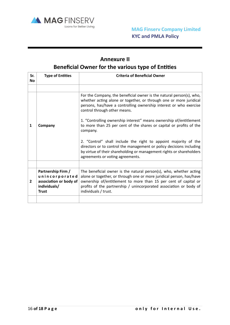

## **Annexure II Beneficial Owner for the various type of Entities**

| Sr.<br><b>No</b> | <b>Type of Entities</b>                                                                        | <b>Criteria of Beneficial Owner</b>                                                                                                                                                                                                                                                                         |
|------------------|------------------------------------------------------------------------------------------------|-------------------------------------------------------------------------------------------------------------------------------------------------------------------------------------------------------------------------------------------------------------------------------------------------------------|
|                  |                                                                                                |                                                                                                                                                                                                                                                                                                             |
|                  |                                                                                                | For the Company, the beneficial owner is the natural person(s), who,<br>whether acting alone or together, or through one or more juridical<br>persons, has/have a controlling ownership interest or who exercise<br>control through other means.                                                            |
| 1                | Company                                                                                        | 1. "Controlling ownership interest" means ownership of/entitlement<br>to more than 25 per cent of the shares or capital or profits of the<br>company.                                                                                                                                                       |
|                  |                                                                                                | 2. "Control" shall include the right to appoint majority of the<br>directors or to control the management or policy decisions including<br>by virtue of their shareholding or management rights or shareholders<br>agreements or voting agreements.                                                         |
|                  |                                                                                                |                                                                                                                                                                                                                                                                                                             |
| 2                | Partnership Firm /<br>unincorporated<br>association or body of<br>individuals/<br><b>Trust</b> | The beneficial owner is the natural person(s), who, whether acting<br>alone or together, or through one or more juridical person, has/have<br>ownership of/entitlement to more than 15 per cent of capital or<br>profits of the partnership / unincorporated association or body of<br>individuals / trust. |
|                  |                                                                                                |                                                                                                                                                                                                                                                                                                             |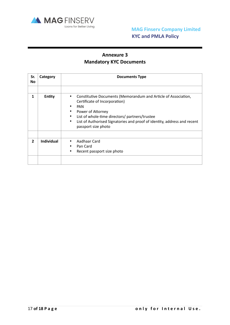

## **Annexure 3 Mandatory KYC Documents**

| Sr.<br><b>No</b> | Category          | <b>Documents Type</b>                                                                                                                                                                                                                                                                                                       |
|------------------|-------------------|-----------------------------------------------------------------------------------------------------------------------------------------------------------------------------------------------------------------------------------------------------------------------------------------------------------------------------|
|                  |                   |                                                                                                                                                                                                                                                                                                                             |
| 1                | <b>Entity</b>     | Constitutive Documents (Memorandum and Article of Association,<br>$\bullet$<br>Certificate of Incorporation)<br><b>PAN</b><br>Power of Attorney<br>٠<br>List of whole-time directors/ partners/trustee<br>٠<br>List of Authorised Signatories and proof of identity, address and recent<br>$\bullet$<br>passport size photo |
| $\overline{2}$   | <b>Individual</b> | Aadhaar Card<br>٠<br>Pan Card<br>Recent passport size photo                                                                                                                                                                                                                                                                 |
|                  |                   |                                                                                                                                                                                                                                                                                                                             |